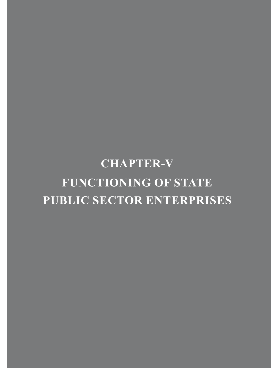# **Functioning of State Public Sector Enterprises CHAPTER-V**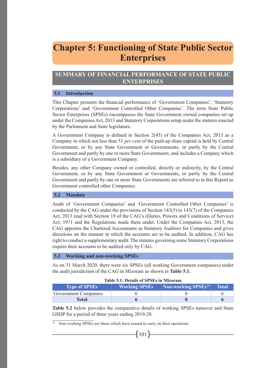# **Chapter 5: Functioning of State Public Sector Enterprises**

# **SUMMARY OF FINANCIAL PERFORMANCE OF STATE PUBLIC ENTERPRISES**

# **5.1 Introduction**

This Chapter presents the financial performance of 'Government Companies', 'Statutory Corporations' and 'Government Controlled Other Companies'. The term State Public Sector Enterprises (SPSEs) encompasses the State Government owned companies set up under the Companies Act, 2013 and Statutory Corporations setup under the statutes enacted by the Parliament and State legislature.

A Government Company is defined in Section 2(45) of the Companies Act, 2013 as a Company in which not less than 51 *per cent* of the paid-up share capital is held by Central Government, or by any State Government or Governments, or partly by the Central Government and partly by one or more State Governments, and includes a Company which is a subsidiary of a Government Company.

Besides, any other Company owned or controlled, directly or indirectly, by the Central Government, or by any State Government or Governments, or partly by the Central Government and partly by one or more State Governments are referred to in this Report as Government controlled other Companies.

#### **5.2 Mandate**

Audit of 'Government Companies' and 'Government Controlled Other Companies' is conducted by the CAG under the provisions of Section 143(5) to 143(7) of the Companies Act, 2013 read with Section 19 of the CAG's (Duties, Powers and Conditions of Service) Act, 1971 and the Regulations made there under. Under the Companies Act, 2013, the CAG appoints the Chartered Accountants as Statutory Auditors for Companies and gives directions on the manner in which the accounts are to be audited. In addition, CAG has right to conduct a supplementary audit. The statutes governing some Statutory Corporations require their accounts to be audited only by CAG.

#### **5.3 Working and non-working SPSEs**

As on 31 March 2020, there were six SPSEs (all working Government companies) under the audit jurisdiction of the CAG in Mizoram as shown in **Table 5.1.**

| THIN CHEF D'UNIO VI DE DES IN FILIOINII |                      |                                                 |              |  |  |  |
|-----------------------------------------|----------------------|-------------------------------------------------|--------------|--|--|--|
| <b>Type of SPSEs</b>                    | <b>Working SPSEs</b> | $\vert$ Non-working SPSEs <sup>24</sup> $\vert$ | <b>Total</b> |  |  |  |
| Government Companies                    |                      |                                                 |              |  |  |  |
| <b>Total</b>                            |                      |                                                 |              |  |  |  |

#### **Table 5.1: Details of SPSEs in Mizoram**

**Table 5.2** below provides the comparative details of working SPSEs turnover and State GSDP for a period of three years ending 2019-20.

 $24$  Non-working SPSEs are those which have ceased to carry on their operations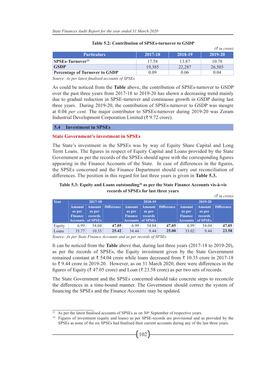|                                           |         |         | $(\bar{\xi}$ in crore) |
|-------------------------------------------|---------|---------|------------------------|
| <b>Particulars</b>                        | 2017-18 | 2018-19 | 2019-20                |
| SPSE <sub>s</sub> -Turnover <sup>25</sup> | 17.58   | 13.87   | 10.78                  |
| <b>GSDP</b>                               | 19,385  | 22,287  | 26,503                 |
| <b>Percentage of Turnover to GSDP</b>     | 0.09    | 0.06    | 0.04                   |

#### **Table 5.2: Contribution of SPSEs-turnover to GSDP**

*Source: As per latest finalised accounts of SPSEs.*

As could be noticed from the **Table** above, the contribution of SPSEs-turnover to GSDP over the past three years from 2017-18 to 2019-20 has shown a decreasing trend mainly due to gradual reduction in SPSE-turnover and continuous growth in GSDP during last three years. During 2019-20, the contribution of SPSEs-turnover to GSDP was meagre at 0.04 *per cent.* The major contributor to SPSEs-turnover during 2019-20 was Zoram Industrial Development Corporation Limited (₹ 9.72 crore).

### **5.4 Investment in SPSEs**

### **State Government's investment in SPSEs**

The State's investment in the SPSEs was by way of Equity Share Capital and Long Term Loans. The figures in respect of Equity Capital and Loans provided by the State Government as per the records of the SPSEs should agree with the corresponding figures appearing in the Finance Accounts of the State. In case of differences in the figures, the SPSEs concerned and the Finance Department should carry out reconciliation of differences. The position in this regard for last three years is given in **Table 5.3.**

# Table 5.3: Equity and Loans outstanding<sup>26</sup> as per the State Finance Accounts vis-à-vis **records of SPSEs for last three years**

|        |                |                          |                     |                |                          |                     |                |                          | $(\bar{\xi}$ in crore) |  |
|--------|----------------|--------------------------|---------------------|----------------|--------------------------|---------------------|----------------|--------------------------|------------------------|--|
| Year   | 2017-18        |                          |                     |                |                          | 2018-19             |                |                          | 2019-20                |  |
|        | <b>Amount</b>  |                          | Amount   Difference | Amount         |                          | Amount   Difference | <b>Amount</b>  | <b>Amount</b>            | <b>Difference</b>      |  |
|        | as per         | as per                   |                     | as per         | as per                   |                     | as per         | as per                   |                        |  |
|        | <b>Finance</b> | records                  |                     | <b>Finance</b> | records                  |                     | <b>Finance</b> | records                  |                        |  |
|        |                | <b>Accounts of SPSEs</b> |                     |                | <b>Accounts</b> of SPSEs |                     |                | <b>Accounts</b> of SPSEs |                        |  |
| Equity | 6.99           | 54.04                    | 47.05               | 6.99           | 54.04                    | 47.05               | 6.99           | 54.04                    | 47.05                  |  |
| Loans  | 35.77          | 10.35                    | 25.42               | 34.44          | 9.44                     | 25.00               | 33.02          | 9.44                     | 23.58                  |  |

*Source: As per State Finance Accounts and as per records of SPSEs.*

It can be noticed from the **Table** above that, during last three years (2017-18 to 2019-20), as per the records of SPSEs, the Equity investment given by the State Government remained constant at ₹ 54.04 crore while loans decreased from ₹ 10.35 crore in 2017-18 to ₹ 9.44 crore in 2019-20. However, as on 31 March 2020, there were differences in the figures of Equity ( $\overline{\xi}$  47.05 crore) and Loan ( $\overline{\xi}$  23.58 crore) as per two sets of records.

The State Government and the SPSEs concerned should take concrete steps to reconcile the differences in a time-bound manner. The Government should correct the system of financing the SPSEs and the Finance Accounts may be updated.

<sup>&</sup>lt;sup>25</sup> As per the latest finalised accounts of SPSEs as on  $30<sup>th</sup>$  September of respective years.

<sup>&</sup>lt;sup>26</sup> Figures of investment (equity and loans) as per SPSE-records are provisional and as provided by the SPSEs as none of the six SPSEs had finalised their current accounts during any of the last three years.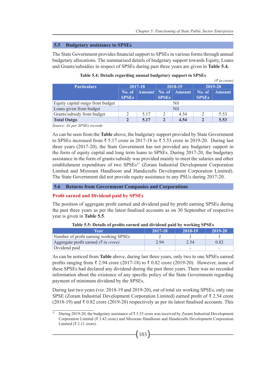# **5.5 Budgetary assistance to SPSEs**

The State Government provides financial support to SPSEs in various forms through annual budgetary allocations. The summarised details of budgetary support towards Equity, Loans and Grants/subsidies in respect of SPSEs during past three years are given in **Table 5.4.**

|                                  |                        |      |              |                          |                        | $(\bar{\xi}$ in crore) |
|----------------------------------|------------------------|------|--------------|--------------------------|------------------------|------------------------|
| <b>Particulars</b>               | 2017-18                |      | 2018-19      |                          | 2019-20                |                        |
|                                  | No. of<br><b>SPSEs</b> |      | <b>SPSEs</b> | Amount   No. of   Amount | No. of<br><b>SPSEs</b> | <b>Amount</b>          |
| Equity capital outgo from budget | N <sub>il</sub>        |      |              |                          |                        |                        |
| Loans given from budget          | Nil                    |      |              |                          |                        |                        |
| Grants/subsidy from budget       |                        | 5.17 | 2            | 4.54                     | 2                      | 5.53                   |
| <b>Total Outgo</b>               |                        | 5.17 |              | 4.54                     |                        | 5.53                   |

| Table 5.4: Details regarding annual budgetary support to SPSEs |  |  |  |  |  |
|----------------------------------------------------------------|--|--|--|--|--|
|----------------------------------------------------------------|--|--|--|--|--|

*Source: As per SPSEs records*

As can be seen from the **Table** above, the budgetary support provided by State Government to SPSEs increased from ₹ 5.17 crore in 2017-18 to ₹ 5.53 crore in 2019-20. During last three years (2017-20), the State Government has not provided any budgetary support in the form of equity capital and long term loans to SPSEs. During 2017-20, the budgetary assistance in the form of grants/subsidy was provided mainly to meet the salaries and other establishment expenditure of two SPSEs<sup>27</sup> (Zoram Industrial Development Corporation Limited and Mizoram Handloom and Handicrafts Development Corporation Limited). The State Government did not provide equity assistance to any PSUs during 2017-20.

# **5.6 Returns from Government Companies and Corporations**

# **Profit earned and Dividend paid by SPSEs**

The position of aggregate profit earned and dividend paid by profit earning SPSEs during the past three years as per the latest finalised accounts as on 30 September of respective year is given in **Table 5.5**.

| Year                                            | 2017-18 | 2018-19 | 2019-20 |
|-------------------------------------------------|---------|---------|---------|
| Number of profit earning working SPSEs          |         |         |         |
| Aggregate profit earned ( $\bar{\xi}$ in crore) | 2.94    | 2.54    | 0.82    |
| Dividend paid                                   |         |         |         |

**Table 5.5: Details of profits earned and dividend paid by working SPSEs**

As can be noticed from **Table** above, during last three years, only two to one SPSEs earned profits ranging from ₹ 2.94 crore (2017-18) to ₹ 0.82 crore (2019-20). However, none of these SPSEs had declared any dividend during the past three years. There was no recorded information about the existence of any specific policy of the State Government regarding payment of minimum dividend by the SPSEs.

During last two years (viz. 2018-19 and 2019-20), out of total six working SPSEs, only one SPSE (Zoram Industrial Development Corporation Limited) earned profit of ₹ 2.54 crore (2018-19) and  $\bar{\tau}$  0.82 crore (2019-20) respectively as per its latest finalised accounts. This

<sup>&</sup>lt;sup>27</sup> During 2019-20, the budgetary assistance of  $\bar{\tau}$  5.53 crore was received by Zoram Industrial Development Corporation Limited (₹ 3.42 crore) and Mizoram Handloom and Handicrafts Development Corporation Limited (₹ 2.11 crore).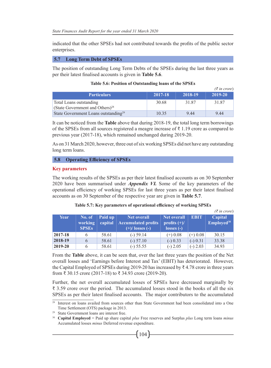indicated that the other SPSEs had not contributed towards the profits of the public sector enterprises.

# **5.7 Long Term Debt of SPSEs**

The position of outstanding Long Term Debts of the SPSEs during the last three years as per their latest finalised accounts is given in **Table 5.6**.

| Table 5.6: Position of Outstanding loans of the SPSEs |
|-------------------------------------------------------|
|-------------------------------------------------------|

*(₹ in crore*)

|                                                                  |         |         | $(x \in C \cap C)$ |
|------------------------------------------------------------------|---------|---------|--------------------|
| <b>Particulars</b>                                               | 2017-18 | 2018-19 | 2019-20            |
| Total Loans outstanding<br>(State Government and Others) $^{28}$ | 30.68   | 31.87   | 31.87              |
| State Government Loans outstanding <sup>29</sup>                 | 10.35   | 9.44    | 9.44               |

It can be noticed from the **Table** above that during 2018-19, the total long term borrowings of the SPSEs from all sources registered a meagre increase of ₹ 1.19 crore as compared to previous year (2017-18), which remained unchanged during 2019-20.

As on 31 March 2020, however, three out of six working SPSEs did not have any outstanding long term loans.

# **5.8 Operating Efficiency of SPSEs**

### **Key parameters**

The working results of the SPSEs as per their latest finalised accounts as on 30 September 2020 have been summarised under *Appendix VI.* Some of the key parameters of the operational efficiency of working SPSEs for last three years as per their latest finalised accounts as on 30 September of the respective year are given in **Table 5.7**.

|             |                                   |                    |                                                                         |                                                     |             | $(\bar{\tau}$ in crore)                  |
|-------------|-----------------------------------|--------------------|-------------------------------------------------------------------------|-----------------------------------------------------|-------------|------------------------------------------|
| <b>Year</b> | No. of<br>working<br><b>SPSEs</b> | Paid up<br>capital | <b>Net overall</b><br><b>Accumulated profits</b><br>$(+)/$ losses $(-)$ | <b>Net overall</b><br>profits $(+)/$<br>$losses(-)$ | <b>EBIT</b> | <b>Capital</b><br>Employed <sup>30</sup> |
| 2017-18     | <sub>b</sub>                      | 58.61              | $(-)$ 59.14                                                             | $(+)$ 0.08                                          | $(+)$ 0.08  | 30.15                                    |
| 2018-19     | 6                                 | 58.61              | $(-)$ 57.10                                                             | $(-) 0.33$                                          | $(-) 0.31$  | 33.38                                    |
| 2019-20     | 6                                 | 58.61              | $(-) 55.55$                                                             | $(-) 2.05$                                          | $(-) 2.03$  | 34.93                                    |

From the **Table** above, it can be seen that, over the last three years the position of the Net overall losses and 'Earnings before Interest and Tax' (EBIT) has deteriorated. However, the Capital Employed of SPSEs during 2019-20 has increased by  $\bar{\tau}$  4.78 crore in three years from ₹ 30.15 crore (2017-18) to ₹ 34.93 crore (2019-20).

Further, the net overall accumulated losses of SPSEs have decreased marginally by ₹ 3.59 crore over the period. The accumulated losses stood in the books of all the six SPSEs as per their latest finalised accounts. The major contributors to the accumulated

<sup>&</sup>lt;sup>28</sup> Interest on loans availed from sources other than State Government had been consolidated into a One Time Settlement (OTS) package in 2013.

<sup>29</sup> State Government loans are interest free.

<sup>30</sup> **Capital Employed** = Paid up share capital *plus* Free reserves and Surplus *plus* Long term loans *minus* Accumulated losses *minus* Deferred revenue expenditure.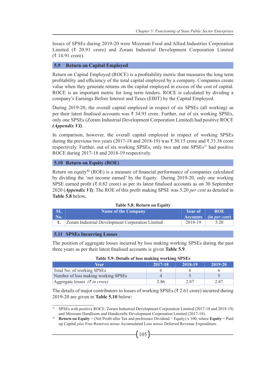losses of SPSEs during 2019-20 were Mizoram Food and Allied Industries Corporation Limited (₹ 20.91 crore) and Zoram Industrial Development Corporation Limited (₹ 14.91 crore).

# **5.9 Return on Capital Employed**

Return on Capital Employed (ROCE) is a profitability metric that measures the long term profitability and efficiency of the total capital employed by a company. Companies create value when they generate returns on the capital employed in excess of the cost of capital. ROCE is an important metric for long term lenders. ROCE is calculated by dividing a company's Earnings Before Interest and Taxes (EBIT) by the Capital Employed.

During 2019-20, the overall capital employed in respect of six SPSEs (all working) as per their latest finalised accounts was ₹ 34.93 crore. Further, out of six working SPSEs, only one SPSEs (Zoram Industrial Development Corporation Limited) had positive ROCE *(Appendix VI)*.

In comparison, however, the overall capital employed in respect of working SPSEs during the previous two years (2017-18 and 2018-19) was ₹ 30.15 crore and ₹ 33.38 crore respectively. Further, out of six working SPSEs, only two and one SPSEs<sup>31</sup> had positive ROCE during 2017-18 and 2018-19 respectively.

# **5.10 Return on Equity (ROE)**

Return on equity**<sup>32</sup>** (ROE) is a measure of financial performance of companies calculated by dividing the 'net income earned' by the Equity. During 2019-20, only one working SPSE earned profit (₹ 0.82 crore) as per its latest finalised accounts as on 30 September 2020 (*Appendix VI)*. The ROE of this profit making SPSE was 5.20 *per cent* as detailed in **Table 5.8** below**.**

| <b>SL</b> | <b>Name of the Company</b>                       | <b>Near of</b> | <b>ROE</b>                                             |
|-----------|--------------------------------------------------|----------------|--------------------------------------------------------|
| $N_{0.7}$ |                                                  |                | $\vert$ Accounts $\vert$ (in <i>per cent</i> ) $\vert$ |
|           | Zoram Industrial Development Corporation Limited | 2018-19        | 5.20                                                   |

# **5.11 SPSEs Incurring Losses**

The position of aggregate losses incurred by loss making working SPSEs during the past three years as per their latest finalised accounts is given **Table 5.9**.

| Table 5.9: Details of loss making working SPSEs |  |  |  |  |  |
|-------------------------------------------------|--|--|--|--|--|
|-------------------------------------------------|--|--|--|--|--|

| Year                                      | 2017-18 | 2018-19 | 2019-20 |
|-------------------------------------------|---------|---------|---------|
| Total No. of working SPSEs                |         |         |         |
| Number of loss making working SPSEs       |         |         |         |
| Aggregate losses ( $\bar{\tau}$ in crore) | 2.86    | 2.87    | 2.87    |

The details of major contributors to losses of working SPSEs ( $\bar{\tau}$  2.61 crore) incurred during 2019-20 are given in **Table 5.10** below:

<sup>&</sup>lt;sup>31</sup> SPSEs with positive ROCE: Zoram Industrial Development Corporation Limited (2017-18 and 2018-19) and Mizoram Handloom and Handicrafts Development Corporation Limited (2017-18).

<sup>&</sup>lt;sup>32</sup> **Return on Equity** = (Net Profit after Tax and preference Dividend  $\div$  Equity) x 100, where **Equity** = Paid up Capital *plus* Free Reserves *minus* Accumulated Loss *minus* Deferred Revenue Expenditure.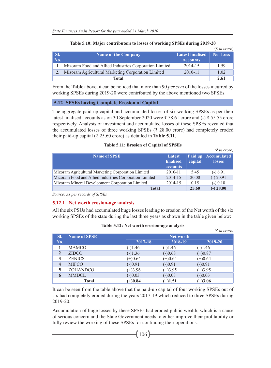|     |                                                        |                         | $(\bar{\xi}$ in crore) |
|-----|--------------------------------------------------------|-------------------------|------------------------|
| SI. | Name of the Company                                    | <b>Latest finalised</b> | Net Loss               |
| No. |                                                        | accounts                |                        |
|     | Mizoram Food and Allied Industries Corporation Limited | 2014-15                 | 1.59                   |
|     | Mizoram Agricultural Marketing Corporation Limited     | 2010-11                 | 1.02                   |
|     | Total                                                  |                         | 2.61                   |

## **Table 5.10: Major contributors to losses of working SPSEs during 2019-20**

From the **Table** above, it can be noticed that more than 90 *per cent* of the losses incurred by working SPSEs during 2019-20 were contributed by the above mentioned two SPSEs.

# **5.12 SPSEs having Complete Erosion of Capital**

The aggregate paid-up capital and accumulated losses of six working SPSEs as per their latest finalised accounts as on 30 September 2020 were ₹ 58.61 crore and (-) ₹ 55.55 crore respectively. Analysis of investment and accumulated losses of these SPSEs revealed that the accumulated losses of three working SPSEs (₹ 28.00 crore) had completely eroded their paid-up capital (₹ 25.60 crore) as detailed in **Table 5.11**.

# **Table 5.11: Erosion of Capital of SPSEs**

|                                                        |                                 |         | $(\bar{\xi}$ in crore)                 |
|--------------------------------------------------------|---------------------------------|---------|----------------------------------------|
| <b>Name of SPSE</b>                                    | Latest<br>finalised<br>accounts | capital | Paid up   Accumulated<br><b>losses</b> |
| Mizoram Agricultural Marketing Corporation Limited     | 2010-11                         | 5.45    | $(-) 6.91$                             |
| Mizoram Food and Allied Industries Corporation Limited | 2014-15                         | 20.00   | $(-) 20.91$                            |
| Mizoram Mineral Development Corporation Limited        | 2014-15                         | 0.15    | $(-) 0.18$                             |
| <b>Total</b>                                           |                                 | 25.60   | $(-) 28.00$                            |

*Source: As per records of SPSEs*

# **5.12.1 Net worth erosion-age analysis**

All the six PSUs had accumulated huge losses leading to erosion of the Net worth of the six working SPSEs of the state during the last three years as shown in the table given below:

|                         |                     |           |           | (1.111)   |
|-------------------------|---------------------|-----------|-----------|-----------|
| SI.                     | <b>Name of SPSE</b> | Net worth |           |           |
| No.                     |                     | 2017-18   | 2018-19   | 2019-20   |
|                         | <b>MAMCO</b>        | $(-)1.46$ | $(-)1.46$ | $(-)1.46$ |
| $\overline{2}$          | <b>ZIDCO</b>        | $(-)1.36$ | $(-)0.68$ | $(+)0.87$ |
| 3                       | <b>ZENICS</b>       | $(+)0.64$ | $(+)0.64$ | $(+)0.64$ |
| $\overline{\mathbf{4}}$ | <b>MIFCO</b>        | $(-)0.91$ | $(-)0.91$ | $(-)0.91$ |
| 5                       | ZOHANDCO            | $(+)3.96$ | $(+)3.95$ | $(+)3.95$ |
| 6                       | <b>MMDCL</b>        | $(-)0.03$ | $(-)0.03$ | $(-)0.03$ |
|                         | Total               | $(+)0.84$ | $(+)1.51$ | $(+)3.06$ |

#### **Table 5.12: Net worth erosion-age analysis**

*(₹ in crore)*

It can be seen from the table above that the paid-up capital of four working SPSEs out of six had completely eroded during the years 2017-19 which reduced to three SPSEs during 2019-20.

Accumulation of huge losses by these SPSEs had eroded public wealth, which is a cause of serious concern and the State Government needs to either improve their profitability or fully review the working of these SPSEs for continuing their operations.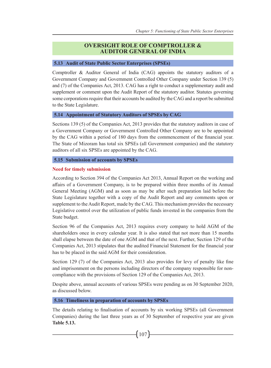# **OVERSIGHT ROLE OF COMPTROLLER & AUDITOR GENERAL OF INDIA**

# **5.13 Audit of State Public Sector Enterprises (SPSEs)**

Comptroller & Auditor General of India (CAG) appoints the statutory auditors of a Government Company and Government Controlled Other Company under Section 139 (5) and (7) of the Companies Act, 2013. CAG has a right to conduct a supplementary audit and supplement or comment upon the Audit Report of the statutory auditor. Statutes governing some corporations require that their accounts be audited by the CAG and a report be submitted to the State Legislature.

# **5.14 Appointment of Statutory Auditors of SPSEs by CAG**

Sections 139 (5) of the Companies Act, 2013 provides that the statutory auditors in case of a Government Company or Government Controlled Other Company are to be appointed by the CAG within a period of 180 days from the commencement of the financial year. The State of Mizoram has total six SPSEs (all Government companies) and the statutory auditors of all six SPSEs are appointed by the CAG.

# **5.15 Submission of accounts by SPSEs**

# **Need for timely submission**

According to Section 394 of the Companies Act 2013, Annual Report on the working and affairs of a Government Company, is to be prepared within three months of its Annual General Meeting (AGM) and as soon as may be after such preparation laid before the State Legislature together with a copy of the Audit Report and any comments upon or supplement to the Audit Report, made by the CAG. This mechanism provides the necessary Legislative control over the utilization of public funds invested in the companies from the State budget.

Section 96 of the Companies Act, 2013 requires every company to hold AGM of the shareholders once in every calendar year. It is also stated that not more than 15 months shall elapse between the date of one AGM and that of the next. Further, Section 129 of the Companies Act, 2013 stipulates that the audited Financial Statement for the financial year has to be placed in the said AGM for their consideration.

Section 129 (7) of the Companies Act, 2013 also provides for levy of penalty like fine and imprisonment on the persons including directors of the company responsible for noncompliance with the provisions of Section 129 of the Companies Act, 2013.

Despite above, annual accounts of various SPSEs were pending as on 30 September 2020, as discussed below.

# **5.16 Timeliness in preparation of accounts by SPSEs**

The details relating to finalisation of accounts by six working SPSEs (all Government Companies) during the last three years as of 30 September of respective year are given **Table 5.13.**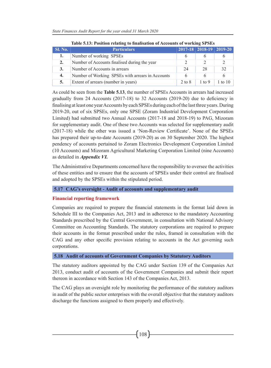| Table 3.13. I USILION FEIALING TO MITALISATION OF ACCOUNTS OF WOLKING ST SES |                                                  |        |          |                                  |
|------------------------------------------------------------------------------|--------------------------------------------------|--------|----------|----------------------------------|
| <b>Sl. No.</b>                                                               | <b>Particulars</b>                               |        |          | $\sqrt{2017-18}$ 2018-19 2019-20 |
|                                                                              | Number of working SPSEs                          |        |          |                                  |
| 2.                                                                           | Number of Accounts finalised during the year     |        |          |                                  |
| 3.                                                                           | Number of Accounts in arrears                    | 24     | 28       | 32                               |
| 4.                                                                           | Number of Working SPSEs with arrears in Accounts |        |          |                                  |
| 5.                                                                           | Extent of arrears (number in years)              | 2 to 8 | $1$ to 9 | 1 to 10                          |

**Table 5.13: Position relating to finalisation of Accounts of working SPSEs**

As could be seen from the **Table 5.13**, the number of SPSEs Accounts in arrears had increased gradually from 24 Accounts (2017-18) to 32 Accounts (2019-20) due to deficiency in finalising at least one year Accounts by each SPSEs during each of the last three years. During 2019-20, out of six SPSEs, only one SPSE (Zoram Industrial Development Corporation Limited) had submitted two Annual Accounts (2017-18 and 2018-19) to PAG, Mizoram for supplementary audit. One of these two Accounts was selected for supplementary audit (2017-18) while the other was issued a 'Non-Review Certificate'. None of the SPSEs has prepared their up-to-date Accounts (2019-20) as on 30 September 2020. The highest pendency of accounts pertained to Zoram Electronics Development Corporation Limited (10 Accounts) and Mizoram Agricultural Marketing Corporation Limited (nine Accounts) as detailed in *Appendix VI.*

The Administrative Departments concerned have the responsibility to oversee the activities of these entities and to ensure that the accounts of SPSEs under their control are finalised and adopted by the SPSEs within the stipulated period.

# **5.17 CAG's oversight - Audit of accounts and supplementary audit**

# **Financial reporting framework**

Companies are required to prepare the financial statements in the format laid down in Schedule III to the Companies Act, 2013 and in adherence to the mandatory Accounting Standards prescribed by the Central Government, in consultation with National Advisory Committee on Accounting Standards. The statutory corporations are required to prepare their accounts in the format prescribed under the rules, framed in consultation with the CAG and any other specific provision relating to accounts in the Act governing such corporations.

# **5.18 Audit of accounts of Government Companies by Statutory Auditors**

The statutory auditors appointed by the CAG under Section 139 of the Companies Act 2013, conduct audit of accounts of the Government Companies and submit their report thereon in accordance with Section 143 of the Companies Act, 2013.

The CAG plays an oversight role by monitoring the performance of the statutory auditors in audit of the public sector enterprises with the overall objective that the statutory auditors discharge the functions assigned to them properly and effectively.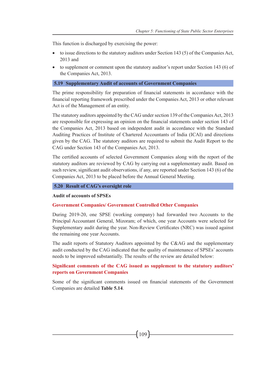This function is discharged by exercising the power:

- to issue directions to the statutory auditors under Section 143 (5) of the Companies Act, 2013 and
- to supplement or comment upon the statutory auditor's report under Section 143 (6) of the Companies Act, 2013.

#### **5.19 Supplementary Audit of accounts of Government Companies**

The prime responsibility for preparation of financial statements in accordance with the financial reporting framework prescribed under the Companies Act, 2013 or other relevant Act is of the Management of an entity.

The statutory auditors appointed by the CAG under section 139 of the Companies Act, 2013 are responsible for expressing an opinion on the financial statements under section 143 of the Companies Act, 2013 based on independent audit in accordance with the Standard Auditing Practices of Institute of Chartered Accountants of India (ICAI) and directions given by the CAG. The statutory auditors are required to submit the Audit Report to the CAG under Section 143 of the Companies Act, 2013.

The certified accounts of selected Government Companies along with the report of the statutory auditors are reviewed by CAG by carrying out a supplementary audit. Based on such review, significant audit observations, if any, are reported under Section 143 (6) of the Companies Act, 2013 to be placed before the Annual General Meeting.

#### **5.20 Result of CAG's oversight role**

#### **Audit of accounts of SPSEs**

#### **Government Companies/ Government Controlled Other Companies**

During 2019-20, one SPSE (working company) had forwarded two Accounts to the Principal Accountant General, Mizoram; of which, one year Accounts were selected for Supplementary audit during the year. Non-Review Certificates (NRC) was issued against the remaining one year Accounts.

The audit reports of Statutory Auditors appointed by the C&AG and the supplementary audit conducted by the CAG indicated that the quality of maintenance of SPSEs' accounts needs to be improved substantially. The results of the review are detailed below:

# **Significant comments of the CAG issued as supplement to the statutory auditors' reports on Government Companies**

Some of the significant comments issued on financial statements of the Government Companies are detailed **Table 5.14**.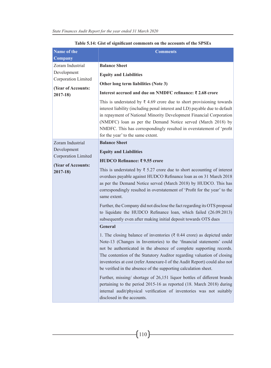| Name of the<br>Company                                                                             | <b>Comments</b>                                                                                                                                                                                                                                                                                                                                                                                                                                                                                                                                                                                                                                                                                                                        |
|----------------------------------------------------------------------------------------------------|----------------------------------------------------------------------------------------------------------------------------------------------------------------------------------------------------------------------------------------------------------------------------------------------------------------------------------------------------------------------------------------------------------------------------------------------------------------------------------------------------------------------------------------------------------------------------------------------------------------------------------------------------------------------------------------------------------------------------------------|
| Zoram Industrial<br>Development<br>Corporation Limited<br>(Year of Accounts:<br>$2017 - 18$        | <b>Balance Sheet</b><br><b>Equity and Liabilities</b><br>Other long term liabilities (Note 3)<br>Interest accrued and due on NMDFC refinance: ₹2.68 crore<br>This is understated by $\bar{\tau}$ 4.69 crore due to short provisioning towards<br>interest liability (including penal interest and LD) payable due to default<br>in repayment of National Minority Development Financial Corporation<br>(NMDFC) loan as per the Demand Notice served (March 2018) by<br>NMDFC. This has correspondingly resulted in overstatement of 'profit<br>for the year' to the same extent.                                                                                                                                                       |
| Zoram Industrial<br>Development<br><b>Corporation Limited</b><br>(Year of Accounts:<br>$2017 - 18$ | <b>Balance Sheet</b><br><b>Equity and Liabilities</b><br>HUDCO Refinance: ₹9.55 crore<br>This is understated by $\bar{\xi}$ 5.27 crore due to short accounting of interest<br>overdues payable against HUDCO Refinance loan as on 31 March 2018<br>as per the Demand Notice served (March 2018) by HUDCO. This has<br>correspondingly resulted in overstatement of 'Profit for the year' to the<br>same extent.<br>Further, the Company did not disclose the fact regarding its OTS proposal<br>to liquidate the HUDCO Refinance loan, which failed (26.09.2013)<br>subsequently even after making initial deposit towards OTS dues                                                                                                    |
|                                                                                                    | <b>General</b><br>1. The closing balance of inventories ( $\bar{\tau}$ 0.44 crore) as depicted under<br>Note-13 (Changes in Inventories) to the 'financial statements' could<br>not be authenticated in the absence of complete supporting records.<br>The contention of the Statutory Auditor regarding valuation of closing<br>inventories at cost (refer Annexure-I of the Audit Report) could also not<br>be verified in the absence of the supporting calculation sheet.<br>Further, missing/ shortage of 26,151 liquor bottles of different brands<br>pertaining to the period 2015-16 as reported (18. March 2018) during<br>internal audit/physical verification of inventories was not suitably<br>disclosed in the accounts. |

# **Table 5.14: Gist of significant comments on the accounts of the SPSEs**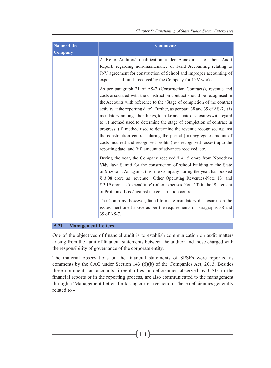| Name of the                                                                                                                                                                                                                                                                                                                                                                                                                                                                                                                                                                                                                                                                                                                                                 | <b>Comments</b>                                                                                                                                                                                                                                                                                                                                                                                                                                                                                                                                                                                             |  |  |
|-------------------------------------------------------------------------------------------------------------------------------------------------------------------------------------------------------------------------------------------------------------------------------------------------------------------------------------------------------------------------------------------------------------------------------------------------------------------------------------------------------------------------------------------------------------------------------------------------------------------------------------------------------------------------------------------------------------------------------------------------------------|-------------------------------------------------------------------------------------------------------------------------------------------------------------------------------------------------------------------------------------------------------------------------------------------------------------------------------------------------------------------------------------------------------------------------------------------------------------------------------------------------------------------------------------------------------------------------------------------------------------|--|--|
| <b>Company</b>                                                                                                                                                                                                                                                                                                                                                                                                                                                                                                                                                                                                                                                                                                                                              |                                                                                                                                                                                                                                                                                                                                                                                                                                                                                                                                                                                                             |  |  |
|                                                                                                                                                                                                                                                                                                                                                                                                                                                                                                                                                                                                                                                                                                                                                             | 2. Refer Auditors' qualification under Annexure I of their Audit<br>Report, regarding non-maintenance of Fund Accounting relating to<br>JNV agreement for construction of School and improper accounting of<br>expenses and funds received by the Company for JNV works.                                                                                                                                                                                                                                                                                                                                    |  |  |
| As per paragraph 21 of AS-7 (Construction Contracts), revenue and<br>costs associated with the construction contract should be recognised in<br>the Accounts with reference to the 'Stage of completion of the contract<br>activity at the reporting date'. Further, as per para 38 and 39 of AS-7, it is<br>mandatory, among other things, to make adequate disclosures with regard<br>to (i) method used to determine the stage of completion of contract in<br>progress; (ii) method used to determine the revenue recognised against<br>the construction contract during the period (iii) aggregate amount of<br>costs incurred and recognised profits (less recognised losses) upto the<br>reporting date; and (iii) amount of advances received, etc. |                                                                                                                                                                                                                                                                                                                                                                                                                                                                                                                                                                                                             |  |  |
|                                                                                                                                                                                                                                                                                                                                                                                                                                                                                                                                                                                                                                                                                                                                                             | During the year, the Company received $\bar{\xi}$ 4.15 crore from Novodaya<br>Vidyalaya Samiti for the construction of school building in the State<br>of Mizoram. As against this, the Company during the year, has booked<br>₹ 3.08 crore as 'revenue' (Other Operating Revenues-Note 13) and<br>$\bar{\xi}$ 3.19 crore as 'expenditure' (other expenses-Note 15) in the 'Statement'<br>of Profit and Loss' against the construction contract.<br>The Company, however, failed to make mandatory disclosures on the<br>issues mentioned above as per the requirements of paragraphs 38 and<br>39 of AS-7. |  |  |

#### **5.21 Management Letters**

One of the objectives of financial audit is to establish communication on audit matters arising from the audit of financial statements between the auditor and those charged with the responsibility of governance of the corporate entity.

The material observations on the financial statements of SPSEs were reported as comments by the CAG under Section 143 (6)(b) of the Companies Act, 2013. Besides these comments on accounts, irregularities or deficiencies observed by CAG in the financial reports or in the reporting process, are also communicated to the management through a 'Management Letter' for taking corrective action. These deficiencies generally related to -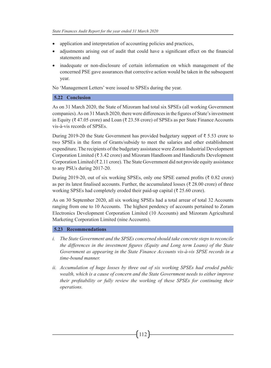- application and interpretation of accounting policies and practices,
- adjustments arising out of audit that could have a significant effect on the financial statements and
- inadequate or non-disclosure of certain information on which management of the concerned PSE gave assurances that corrective action would be taken in the subsequent year.

No 'Management Letters' were issued to SPSEs during the year.

# **5.22 Conclusion**

As on 31 March 2020, the State of Mizoram had total six SPSEs (all working Government companies). As on 31 March 2020, there were differences in the figures of State's investment in Equity (₹ 47.05 crore) and Loan (₹ 23.58 crore) of SPSEs as per State Finance Accounts vis-à-vis records of SPSEs.

During 2019-20 the State Government has provided budgetary support of  $\bar{\xi}$  5.53 crore to two SPSEs in the form of Grants/subsidy to meet the salaries and other establishment expenditure. The recipients of the budgetary assistance were Zoram Industrial Development Corporation Limited (₹ 3.42 crore) and Mizoram Handloom and Handicrafts Development Corporation Limited ( $\bar{\tau}$  2.11 crore). The State Government did not provide equity assistance to any PSUs during 2017-20.

During 2019-20, out of six working SPSEs, only one SPSE earned profits ( $\bar{\tau}$  0.82 crore) as per its latest finalised accounts. Further, the accumulated losses ( $\overline{\xi}$  28.00 crore) of three working SPSEs had completely eroded their paid-up capital (₹ 25.60 crore).

As on 30 September 2020, all six working SPSEs had a total arrear of total 32 Accounts ranging from one to 10 Accounts. The highest pendency of accounts pertained to Zoram Electronics Development Corporation Limited (10 Accounts) and Mizoram Agricultural Marketing Corporation Limited (nine Accounts).

#### **5.23 Recommendations**

- *i. The State Government and the SPSEs concerned should take concrete steps to reconcile the differences in the investment figures (Equity and Long term Loans) of the State Government as appearing in the State Finance Accounts vis-à-vis SPSE records in a time-bound manner.*
- *ii. Accumulation of huge losses by three out of six working SPSEs had eroded public wealth, which is a cause of concern and the State Government needs to either improve their profitability or fully review the working of these SPSEs for continuing their operations.*